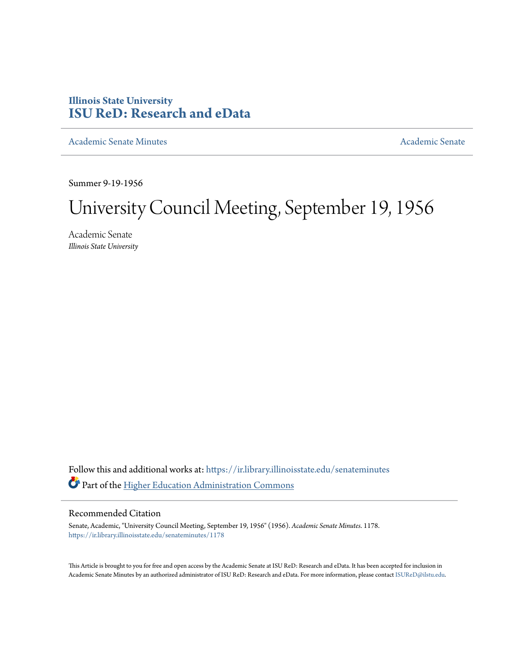## **Illinois State University [ISU ReD: Research and eData](https://ir.library.illinoisstate.edu?utm_source=ir.library.illinoisstate.edu%2Fsenateminutes%2F1178&utm_medium=PDF&utm_campaign=PDFCoverPages)**

[Academic Senate Minutes](https://ir.library.illinoisstate.edu/senateminutes?utm_source=ir.library.illinoisstate.edu%2Fsenateminutes%2F1178&utm_medium=PDF&utm_campaign=PDFCoverPages) [Academic Senate](https://ir.library.illinoisstate.edu/senate?utm_source=ir.library.illinoisstate.edu%2Fsenateminutes%2F1178&utm_medium=PDF&utm_campaign=PDFCoverPages) Academic Senate

Summer 9-19-1956

## University Council Meeting, September 19, 1956

Academic Senate *Illinois State University*

Follow this and additional works at: [https://ir.library.illinoisstate.edu/senateminutes](https://ir.library.illinoisstate.edu/senateminutes?utm_source=ir.library.illinoisstate.edu%2Fsenateminutes%2F1178&utm_medium=PDF&utm_campaign=PDFCoverPages) Part of the [Higher Education Administration Commons](http://network.bepress.com/hgg/discipline/791?utm_source=ir.library.illinoisstate.edu%2Fsenateminutes%2F1178&utm_medium=PDF&utm_campaign=PDFCoverPages)

## Recommended Citation

Senate, Academic, "University Council Meeting, September 19, 1956" (1956). *Academic Senate Minutes*. 1178. [https://ir.library.illinoisstate.edu/senateminutes/1178](https://ir.library.illinoisstate.edu/senateminutes/1178?utm_source=ir.library.illinoisstate.edu%2Fsenateminutes%2F1178&utm_medium=PDF&utm_campaign=PDFCoverPages)

This Article is brought to you for free and open access by the Academic Senate at ISU ReD: Research and eData. It has been accepted for inclusion in Academic Senate Minutes by an authorized administrator of ISU ReD: Research and eData. For more information, please contact [ISUReD@ilstu.edu.](mailto:ISUReD@ilstu.edu)